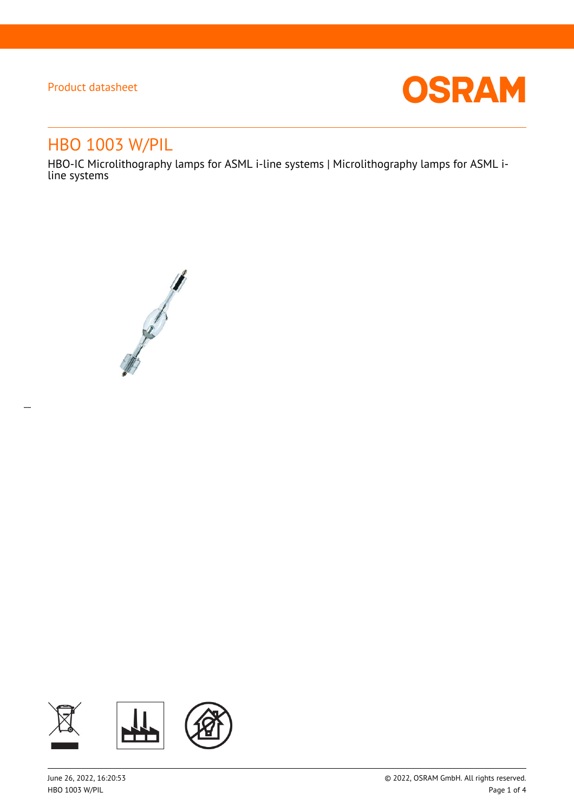$\overline{a}$ 



# HBO 1003 W/PIL

HBO-IC Microlithography lamps for ASML i-line systems | Microlithography lamps for ASML iline systems



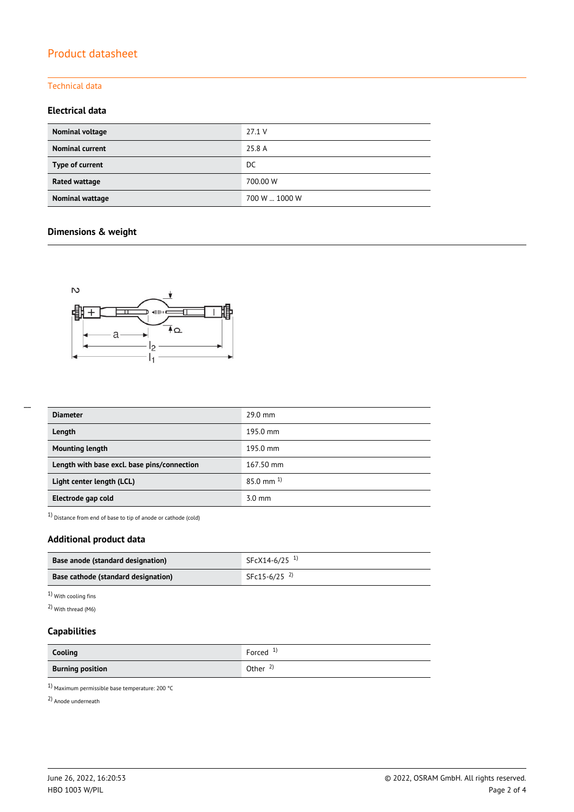### Technical data

### **Electrical data**

| Nominal voltage        | 27.1 V        |
|------------------------|---------------|
| <b>Nominal current</b> | 25.8 A        |
| Type of current        | DC.           |
| <b>Rated wattage</b>   | 700.00 W      |
| Nominal wattage        | 700 W  1000 W |

## **Dimensions & weight**



| <b>Diameter</b>                             | $29.0$ mm        |
|---------------------------------------------|------------------|
| Length                                      | 195.0 mm         |
| <b>Mounting length</b>                      | 195.0 mm         |
| Length with base excl. base pins/connection | 167.50 mm        |
| Light center length (LCL)                   | $85.0$ mm $^{1}$ |
| Electrode gap cold                          | $3.0 \text{ mm}$ |

1) Distance from end of base to tip of anode or cathode (cold)

## **Additional product data**

| <b>Base anode (standard designation)</b> | $SFCX14-6/25$ <sup>1)</sup> |  |
|------------------------------------------|-----------------------------|--|
| Base cathode (standard designation)      | SFc15-6/25 $^{2}$           |  |

1) With cooling fins

2) With thread (M6)

### **Capabilities**

| Cooling                 | Forced $1$          |
|-------------------------|---------------------|
| <b>Burning position</b> | Other $\frac{2}{3}$ |

1) Maximum permissible base temperature: 200 °C

2) Anode underneath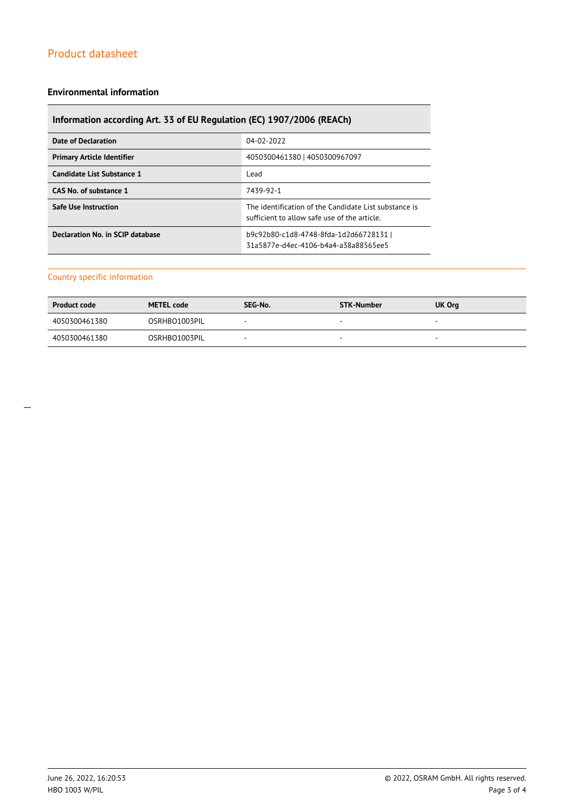### **Environmental information**

## **Information according Art. 33 of EU Regulation (EC) 1907/2006 (REACh)**

| Date of Declaration               | 04-02-2022                                                                                            |
|-----------------------------------|-------------------------------------------------------------------------------------------------------|
| <b>Primary Article Identifier</b> | 4050300461380   4050300967097                                                                         |
| Candidate List Substance 1        | Lead                                                                                                  |
| CAS No. of substance 1            | 7439-92-1                                                                                             |
| <b>Safe Use Instruction</b>       | The identification of the Candidate List substance is<br>sufficient to allow safe use of the article. |
| Declaration No. in SCIP database  | b9c92b80-c1d8-4748-8fda-1d2d66728131  <br>31a5877e-d4ec-4106-b4a4-a38a88565ee5                        |

### Country specific information

| <b>Product code</b> | <b>METEL code</b> | SEG-No. | STK-Number | UK Org                   |
|---------------------|-------------------|---------|------------|--------------------------|
| 4050300461380       | OSRHBO1003PIL     |         | $\sim$     | $\sim$                   |
| 4050300461380       | OSRHBO1003PIL     | -       |            | $\overline{\phantom{a}}$ |